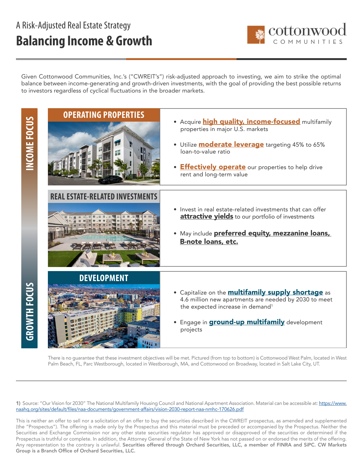## A Risk-Adjusted Real Estate Strategy **Balancing Income & Growth**



Given Cottonwood Communities, Inc.'s ("CWREIT's") risk-adjusted approach to investing, we aim to strike the optimal balance between income-generating and growth-driven investments, with the goal of providing the best possible returns to investors regardless of cyclical fluctuations in the broader markets.

INCOME FOCUS  **GROWTH FOCUS INCOME FOCUS**

**GROWTH FOCUS** 



There is no guarantee that these investment objectives will be met. Pictured (from top to bottom) is Cottonwood West Palm, located in West Palm Beach, FL, Parc Westborough, located in Westborough, MA, and Cottonwood on Broadway, located in Salt Lake City, UT.

1) Source: "Our Vision for 2030" The National Multifamily Housing Council and National Apartment Association. Material can be accessible at: [https://www.](https://www.naahq.org/sites/default/files/naa-documents/government-affairs/vision-2030-report-naa-nmhc-170626.pdf ) [naahq.org/sites/default/files/naa-documents/government-affairs/vision-2030-report-naa-nmhc-170626.pdf](https://www.naahq.org/sites/default/files/naa-documents/government-affairs/vision-2030-report-naa-nmhc-170626.pdf )

This is neither an offer to sell nor a solicitation of an offer to buy the securities described in the CWREIT prospectus, as amended and supplemented (the "Prospectus"). The offering is made only by the Prospectus and this material must be preceded or accompanied by the Prospectus. Neither the Securities and Exchange Commission nor any other state securities regulator has approved or disapproved of the securities or determined if the Prospectus is truthful or complete. In addition, the Attorney General of the State of New York has not passed on or endorsed the merits of the offering. Any representation to the contrary is unlawful. Securities offered through Orchard Securities, LLC, a member of FINRA and SiPC. CW Markets Group is a Branch Office of Orchard Securities, LLC.